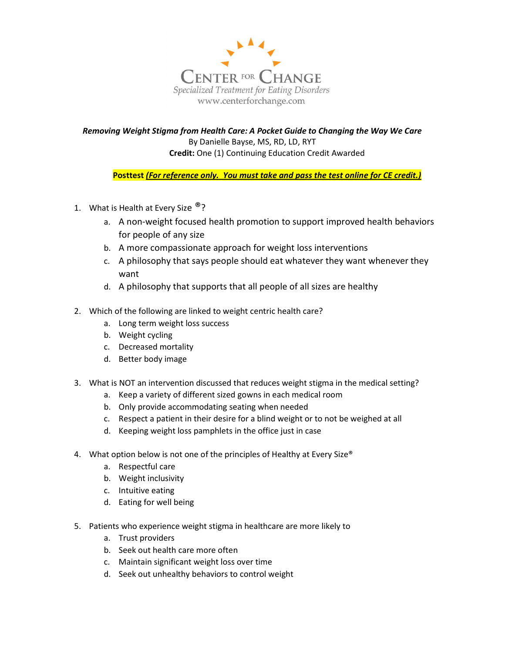

Removing Weight Stigma from Health Care: A Pocket Guide to Changing the Way We Care By Danielle Bayse, MS, RD, LD, RYT Credit: One (1) Continuing Education Credit Awarded

Posttest (For reference only. You must take and pass the test online for CE credit.)

- 1. What is Health at Every Size  $\mathbb{R}$ ?
	- a. A non-weight focused health promotion to support improved health behaviors for people of any size
	- b. A more compassionate approach for weight loss interventions
	- c. A philosophy that says people should eat whatever they want whenever they want
	- d. A philosophy that supports that all people of all sizes are healthy
- 2. Which of the following are linked to weight centric health care?
	- a. Long term weight loss success
	- b. Weight cycling
	- c. Decreased mortality
	- d. Better body image
- 3. What is NOT an intervention discussed that reduces weight stigma in the medical setting?
	- a. Keep a variety of different sized gowns in each medical room
	- b. Only provide accommodating seating when needed
	- c. Respect a patient in their desire for a blind weight or to not be weighed at all
	- d. Keeping weight loss pamphlets in the office just in case
- 4. What option below is not one of the principles of Healthy at Every Size®
	- a. Respectful care
	- b. Weight inclusivity
	- c. Intuitive eating
	- d. Eating for well being
- 5. Patients who experience weight stigma in healthcare are more likely to
	- a. Trust providers
	- b. Seek out health care more often
	- c. Maintain significant weight loss over time
	- d. Seek out unhealthy behaviors to control weight